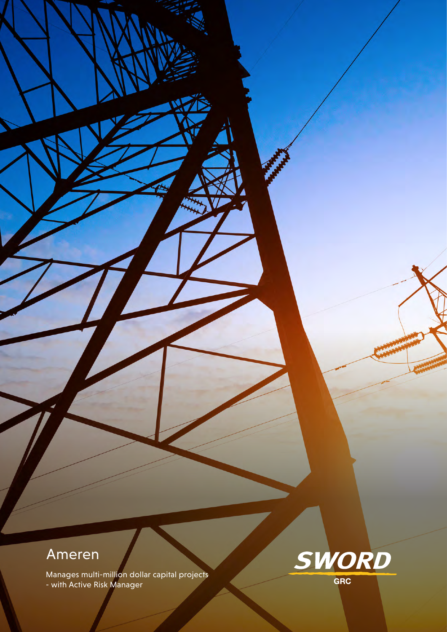# Ameren

Manages multi-million dollar capital projects - with Active Risk Manager

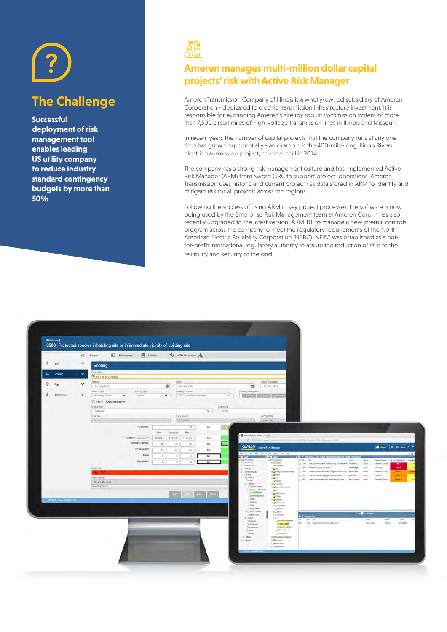

# **The Challenge**

**Successful deployment of risk management tool enables leading US utility company to reduce industry standard contingency budgets by more than 50%**



## **Ameren manages multi-million dollar capital projects' risk with Active Risk Manager**

Ameren Transmission Company of Illinois is a wholly-owned subsidiary of Ameren Corporation - dedicated to electric transmission infrastructure investment. It is responsible for expanding Ameren's already robust transmission system of more than 7,500 circuit miles of high-voltage transmission lines in Illinois and Missouri.

In recent years the number of capital projects that the company runs at any one time has grown exponentially - an example is the 400-mile-long Illinois Rivers electric transmission project, commenced in 2014.

The company has a strong risk management culture and has implemented Active Risk Manager (ARM) from Sword GRC to support project operations. Ameren Transmission uses historic and current project risk data stored in ARM to identify and mitigate risk for all projects across the regions.

Following the success of using ARM in key project processes, the software is now being used by the Enterprise Risk Management team at Ameren Corp. It has also recently upgraded to the latest version, ARM 10, to manage a new internal controls program across the company to meet the regulatory requirements of the North American Electric Reliability Corporation (NERC). NERC was established as a notfor-profit international regulatory authority to assure the reduction of risks to the reliability and security of the grid.

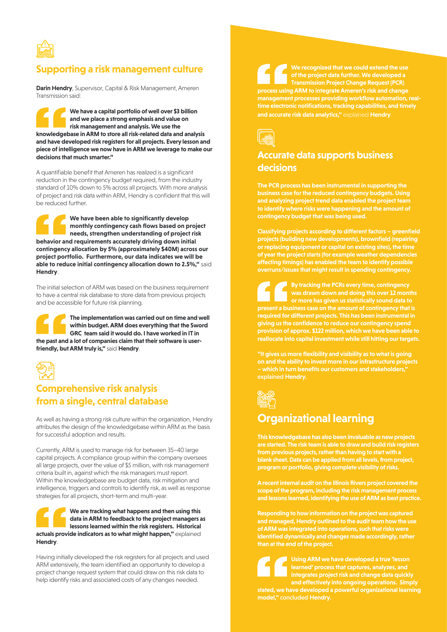

### **Supporting a risk management culture**

**Darin Hendry**, Supervisor, Capital & Risk Management, Ameren Transmission said:

**We have a capital portfolio of well over \$3 billion and we place a strong emphasis and value on risk management and analysis. We use the knowledgebase in ARM to store all risk-related data and analysis and have developed risk registers for all projects. Every lesson and piece of intelligence we now have in ARM we leverage to make our decisions that much smarter."**

A quantifiable benefit that Ameren has realized is a significant reduction in the contingency budget required, from the industry standard of 10% down to 5% across all projects. With more analysis of project and risk data within ARM, Hendry is confident that this will be reduced further.

**We have been able to significantly develop monthly contingency cash flows based on project needs, strengthen understanding of project risk behavior and requirements accurately driving down initial contingency allocation by 5% (approximately \$40M) across our project portfolio. Furthermore, our data indicates we will be able to reduce initial contingency allocation down to 2.5%,"** said **Hendry**.

The initial selection of ARM was based on the business requirement to have a central risk database to store data from previous projects and be accessible for future risk planning.

**The implementation was carried out on time and well within budget. ARM does everything that the Sword GRC team said it would do. I have worked in IT in the past and a lot of companies claim that their software is userfriendly, but ARM truly is,"** said **Hendry**.



## **Comprehensive risk analysis from a single, central database**

As well as having a strong risk culture within the organization, Hendry attributes the design of the knowledgebase within ARM as the basis for successful adoption and results.

Currently, ARM is used to manage risk for between 35–40 large capital projects. A compliance group within the company oversees all large projects, over the value of \$5 million, with risk management criteria built in, against which the risk managers must report. Within the knowledgebase are budget data, risk mitigation and intelligence, triggers and controls to identify risk, as well as response strategies for all projects, short-term and multi-year.

**We are tracking what happens and then using this data in ARM to feedback to the project managers as lessons learned within the risk registers. Historical actuals provide indicators as to what might happen,"** explained **Hendry**.

Having initially developed the risk registers for all projects and used ARM extensively, the team identified an opportunity to develop a project change request system that could draw on this risk data to help identify risks and associated costs of any changes needed.

**We recognized that we could extend the use of the project data further. We developed a Transmission Project Change Request (PCR) process using ARM to integrate Ameren's risk and change management processes providing workflow automation, realtime electronic notifications, tracking capabilities, and timely and accurate risk data analytics,"** explained **Hendry**.



### **Accurate data supports business decisions**

**The PCR process has been instrumental in supporting the business case for the reduced contingency budgets. Using and analyzing project trend data enabled the project team to identify where risks were happening and the amount of contingency budget that was being used.**

**Classifying projects according to different factors – greenfield projects (building new developments), brownfield (repairing or replacing equipment or capital on existing sites), the time of year the project starts (for example weather dependencies affecting timings) has enabled the team to identify possible overruns/issues that might result in spending contingency.**

**By tracking the PCRs every time, contingency was drawn down and doing this over 12 months or more has given us statistically sound data to present a business case on the amount of contingency that is required for different projects. This has been instrumental in giving us the confidence to reduce our contingency spend provision of approx. \$122 million, which we have been able to reallocate into capital investment while still hitting our targets.**

**"It gives us more flexibility and visibility as to what is going on and the ability to invest more in our infrastructure projects – which in turn benefits our customers and stakeholders,"** explained **Hendry**.



# **Organizational learning**

**This knowledgebase has also been invaluable as new projects are started. The risk team is able to draw and build risk registers from previous projects, rather than having to start with a blank sheet. Data can be applied from all levels, from project, program or portfolio, giving complete visibility of risks.**

**A recent internal audit on the Illinois Rivers project covered the scope of the program, including the risk management process and lessons learned, identifying the use of ARM as best practice.** 

**Responding to how information on the project was captured and managed, Hendry outlined to the audit team how the use of ARM was integrated into operations, such that risks were identified dynamically and changes made accordingly, rather** 

> **Using ARM we have developed a true 'lesson integrates project risk and change data quickly**

**stated, we have developed a powerful organizational learning model,"** concluded **Hendry**.